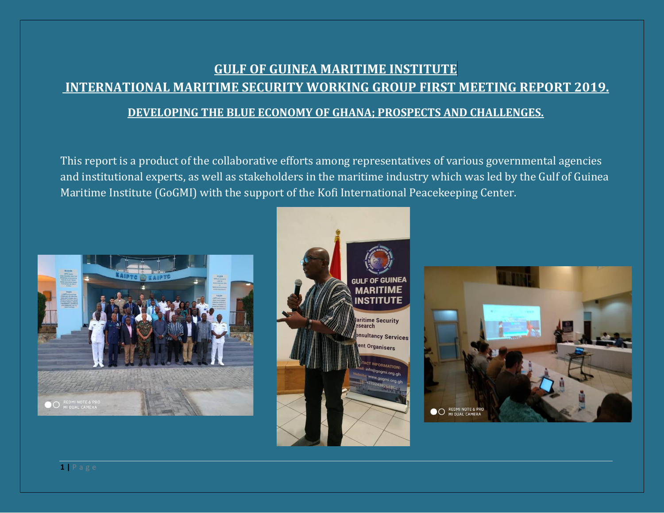# **GULF OF GUINEA MARITIME INSTITUTE**. **INTERNATIONAL MARITIME SECURITY WORKING GROUP FIRST MEETING REPORT 2019. DEVELOPING THE BLUE ECONOMY OF GHANA; PROSPECTS AND CHALLENGES.**

This report is a product of the collaborative efforts among representatives of various governmental agencies and institutional experts, as well as stakeholders in the maritime industry which was led by the Gulf of Guinea Maritime Institute (GoGMI) with the support of the Kofi International Peacekeeping Center.





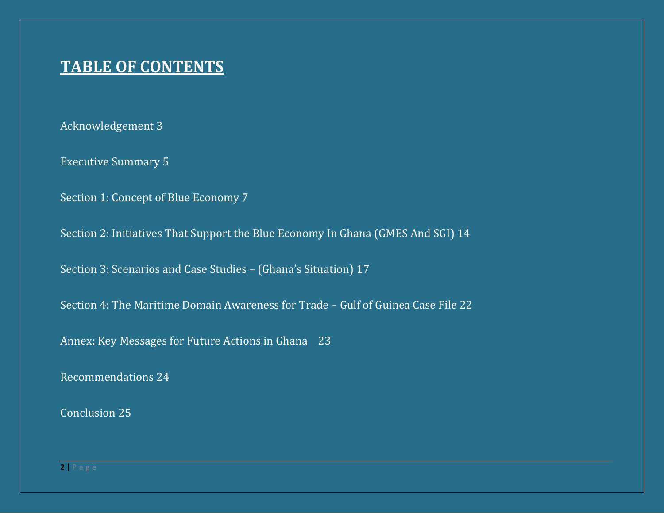# **TABLE OF CONTENTS**

Acknowledgement 3

Executive Summary 5

Section 1: Concept of Blue Economy 7

Section 2: Initiatives That Support the Blue Economy In Ghana (GMES And SGI) 14

Section 3: Scenarios and Case Studies – (Ghana's Situation) 17

Section 4: The Maritime Domain Awareness for Trade – Gulf of Guinea Case File 22

Annex: Key Messages for Future Actions in Ghana 23

Recommendations 24

Conclusion 25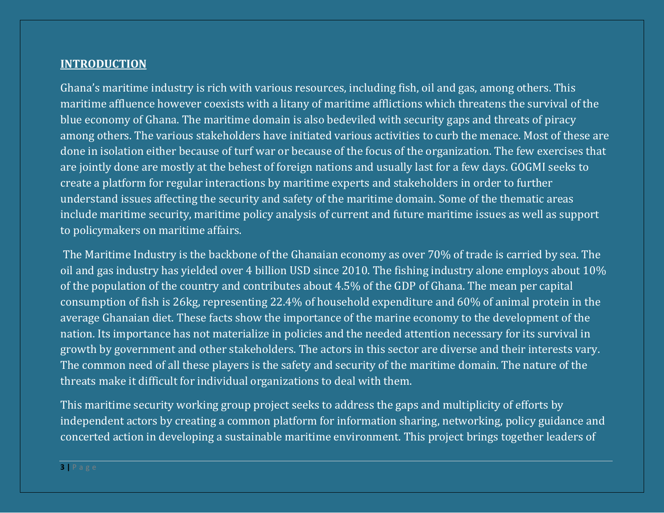### **INTRODUCTION**

Ghana's maritime industry is rich with various resources, including fish, oil and gas, among others. This maritime affluence however coexists with a litany of maritime afflictions which threatens the survival of the blue economy of Ghana. The maritime domain is also bedeviled with security gaps and threats of piracy among others. The various stakeholders have initiated various activities to curb the menace. Most of these are done in isolation either because of turf war or because of the focus of the organization. The few exercises that are jointly done are mostly at the behest of foreign nations and usually last for a few days. GOGMI seeks to create a platform for regular interactions by maritime experts and stakeholders in order to further understand issues affecting the security and safety of the maritime domain. Some of the thematic areas include maritime security, maritime policy analysis of current and future maritime issues as well as support to policymakers on maritime affairs.

The Maritime Industry is the backbone of the Ghanaian economy as over 70% of trade is carried by sea. The oil and gas industry has yielded over 4 billion USD since 2010. The fishing industry alone employs about 10% of the population of the country and contributes about 4.5% of the GDP of Ghana. The mean per capital consumption of fish is 26kg, representing 22.4% of household expenditure and 60% of animal protein in the average Ghanaian diet. These facts show the importance of the marine economy to the development of the nation. Its importance has not materialize in policies and the needed attention necessary for its survival in growth by government and other stakeholders. The actors in this sector are diverse and their interests vary. The common need of all these players is the safety and security of the maritime domain. The nature of the threats make it difficult for individual organizations to deal with them.

This maritime security working group project seeks to address the gaps and multiplicity of efforts by independent actors by creating a common platform for information sharing, networking, policy guidance and concerted action in developing a sustainable maritime environment. This project brings together leaders of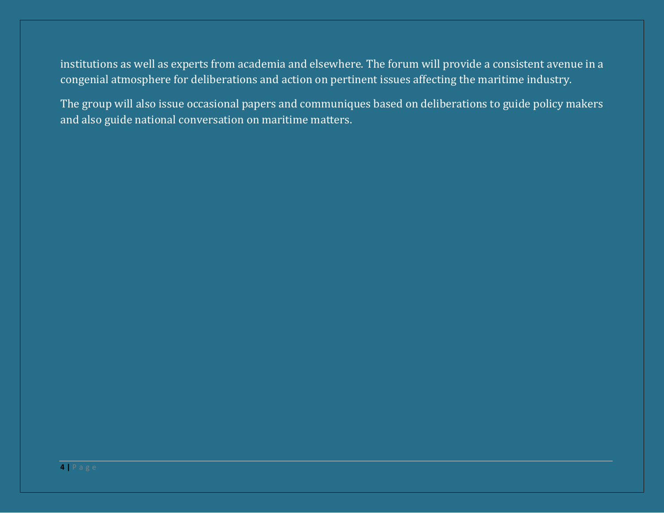institutions as well as experts from academia and elsewhere. The forum will provide a consistent avenue in a congenial atmosphere for deliberations and action on pertinent issues affecting the maritime industry.

The group will also issue occasional papers and communiques based on deliberations to guide policy makers and also guide national conversation on maritime matters.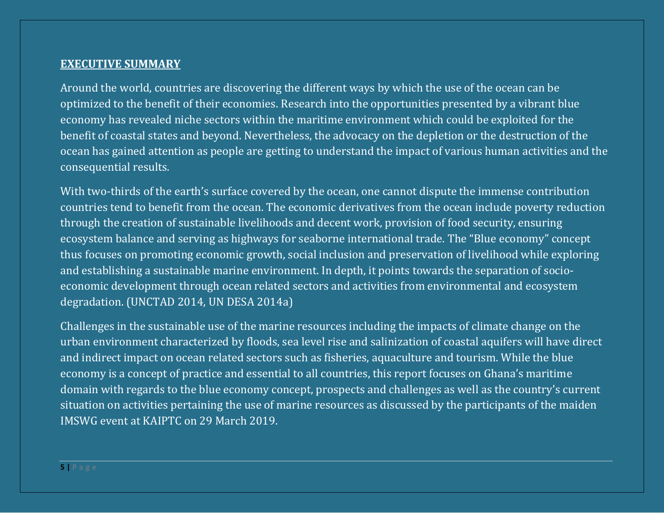#### **EXECUTIVE SUMMARY**

Around the world, countries are discovering the different ways by which the use of the ocean can be optimized to the benefit of their economies. Research into the opportunities presented by a vibrant blue economy has revealed niche sectors within the maritime environment which could be exploited for the benefit of coastal states and beyond. Nevertheless, the advocacy on the depletion or the destruction of the ocean has gained attention as people are getting to understand the impact of various human activities and the consequential results.

With two-thirds of the earth's surface covered by the ocean, one cannot dispute the immense contribution countries tend to benefit from the ocean. The economic derivatives from the ocean include poverty reduction through the creation of sustainable livelihoods and decent work, provision of food security, ensuring ecosystem balance and serving as highways for seaborne international trade. The "Blue economy" concept thus focuses on promoting economic growth, social inclusion and preservation of livelihood while exploring and establishing a sustainable marine environment. In depth, it points towards the separation of socioeconomic development through ocean related sectors and activities from environmental and ecosystem degradation. (UNCTAD 2014, UN DESA 2014a)

Challenges in the sustainable use of the marine resources including the impacts of climate change on the urban environment characterized by floods, sea level rise and salinization of coastal aquifers will have direct and indirect impact on ocean related sectors such as fisheries, aquaculture and tourism. While the blue economy is a concept of practice and essential to all countries, this report focuses on Ghana's maritime domain with regards to the blue economy concept, prospects and challenges as well as the country's current situation on activities pertaining the use of marine resources as discussed by the participants of the maiden IMSWG event at KAIPTC on 29 March 2019.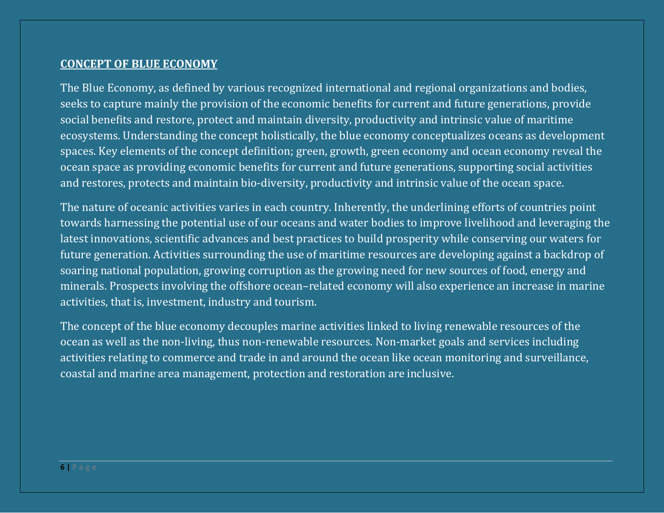#### **CONCEPT OF BLUE ECONOMY**

The Blue Economy, as defined by various recognized international and regional organizations and bodies, seeks to capture mainly the provision of the economic benefits for current and future generations, provide social benefits and restore, protect and maintain diversity, productivity and intrinsic value of maritime ecosystems. Understanding the concept holistically, the blue economy conceptualizes oceans as development spaces. Key elements of the concept definition; green, growth, green economy and ocean economy reveal the ocean space as providing economic benefits for current and future generations, supporting social activities and restores, protects and maintain bio-diversity, productivity and intrinsic value of the ocean space.

The nature of oceanic activities varies in each country. Inherently, the underlining efforts of countries point towards harnessing the potential use of our oceans and water bodies to improve livelihood and leveraging the latest innovations, scientific advances and best practices to build prosperity while conserving our waters for future generation. Activities surrounding the use of maritime resources are developing against a backdrop of soaring national population, growing corruption as the growing need for new sources of food, energy and minerals. Prospects involving the offshore ocean–related economy will also experience an increase in marine activities, that is, investment, industry and tourism.

The concept of the blue economy decouples marine activities linked to living renewable resources of the ocean as well as the non-living, thus non-renewable resources. Non-market goals and services including activities relating to commerce and trade in and around the ocean like ocean monitoring and surveillance, coastal and marine area management, protection and restoration are inclusive.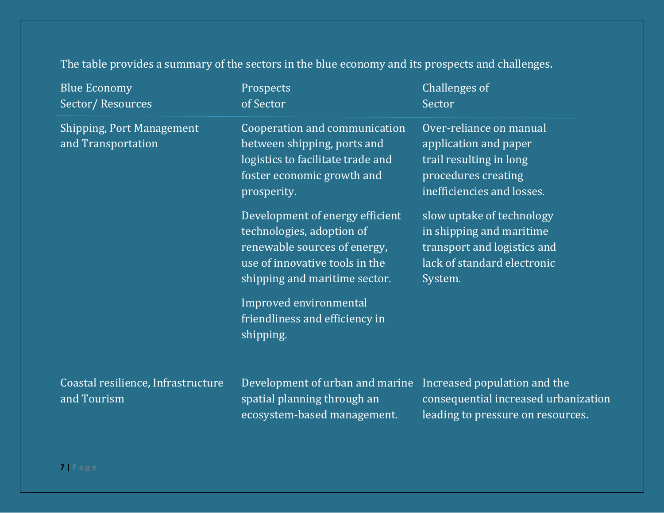The table provides a summary of the sectors in the blue economy and its prospects and challenges.

| <b>Blue Economy</b><br>Sector/Resources                | Prospects<br>of Sector                                                                                                                                          | Challenges of<br>Sector                                                                                                          |
|--------------------------------------------------------|-----------------------------------------------------------------------------------------------------------------------------------------------------------------|----------------------------------------------------------------------------------------------------------------------------------|
| <b>Shipping, Port Management</b><br>and Transportation | Cooperation and communication<br>between shipping, ports and<br>logistics to facilitate trade and<br>foster economic growth and<br>prosperity.                  | Over-reliance on manual<br>application and paper<br>trail resulting in long<br>procedures creating<br>inefficiencies and losses. |
|                                                        | Development of energy efficient<br>technologies, adoption of<br>renewable sources of energy,<br>use of innovative tools in the<br>shipping and maritime sector. | slow uptake of technology<br>in shipping and maritime<br>transport and logistics and<br>lack of standard electronic<br>System.   |
|                                                        | Improved environmental<br>friendliness and efficiency in<br>shipping.                                                                                           |                                                                                                                                  |
| Coastal resilience, Infrastructure<br>and Tourism      | Development of urban and marine<br>spatial planning through an<br>ecosystem-based management.                                                                   | Increased population and the<br>consequential increased urbanization<br>leading to pressure on resources.                        |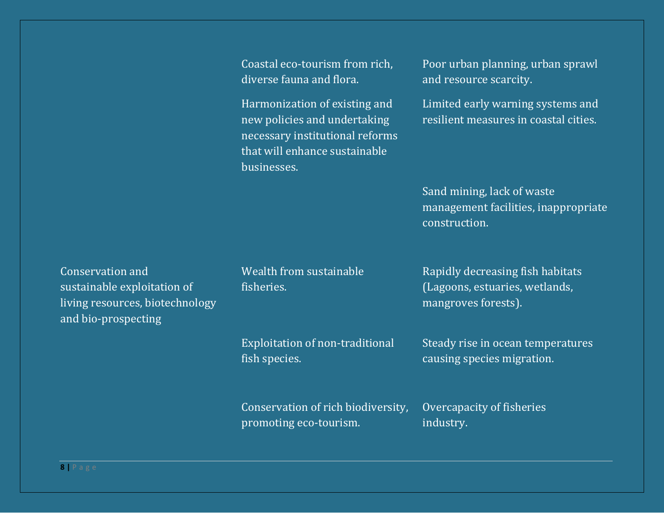diverse fauna and flora. The and resource scarcity.

necessary institutional reforms that will enhance sustainable businesses.

Coastal eco-tourism from rich, Poor urban planning, urban sprawl

Harmonization of existing and Limited early warning systems and new policies and undertaking resilient measures in coastal cities.

> Sand mining, lack of waste management facilities, inappropriate construction.

Conservation and **Exercise Search and Mealth from sustainable Rapidly decreasing fish habitats** sustainable exploitation of fisheries. (Lagoons, estuaries, wetlands, sustainable exploitation of living resources, biotechnology mangroves forests). and bio-prospecting

fish species. causing species migration.

Exploitation of non-traditional Steady rise in ocean temperatures

Conservation of rich biodiversity, Overcapacity of fisheries promoting eco-tourism. The industry.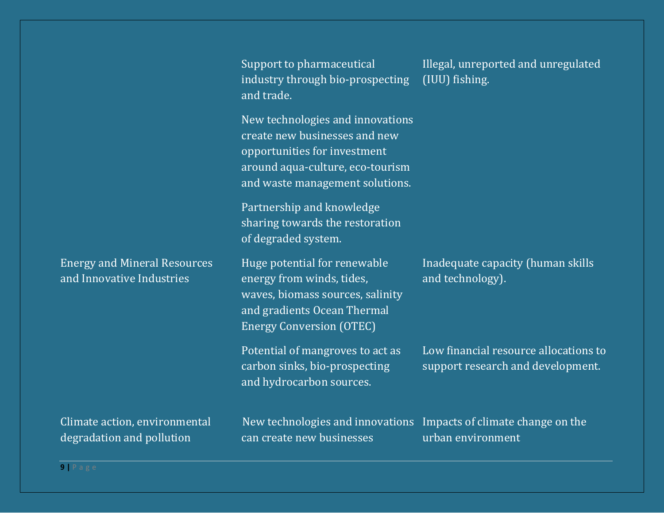Support to pharmaceutical Illegal, unreported and unregulated industry through bio-prospecting (IUU) fishing. and trade.

New technologies and innovations create new businesses and new opportunities for investment around aqua-culture, eco-tourism and waste management solutions.

Partnership and knowledge sharing towards the restoration of degraded system.

and Innovative Industries energy from winds, tides, and technology). waves, biomass sources, salinity and gradients Ocean Thermal Energy Conversion (OTEC)

and hydrocarbon sources.

Energy and Mineral Resources Huge potential for renewable Inadequate capacity (human skills

Potential of mangroves to act as Low financial resource allocations to carbon sinks, bio-prospecting support research and development.

degradation and pollution exameler and can create new businesses and represent the urban environment

Climate action, environmental New technologies and innovations Impacts of climate change on the

**9 |** P a g e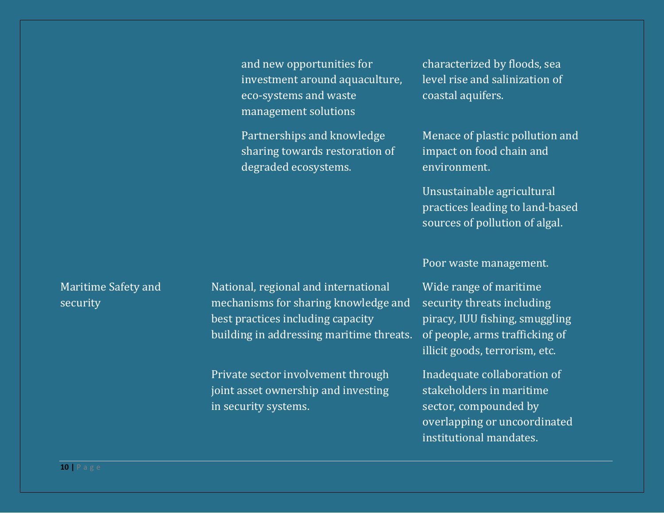and new opportunities for characterized by floods, sea investment around aquaculture, level rise and salinization of eco-systems and waste coastal aquifers. management solutions

sharing towards restoration of impact on food chain and degraded ecosystems. The environment.

Partnerships and knowledge Menace of plastic pollution and

Unsustainable agricultural practices leading to land-based sources of pollution of algal.

Poor waste management.

illicit goods, terrorism, etc.

overlapping or uncoordinated institutional mandates.

Maritime Safety and National, regional and international Wide range of maritime security mechanisms for sharing knowledge and security threats including best practices including capacity piracy, IUU fishing, smuggling building in addressing maritime threats. of people, arms trafficking of

> Private sector involvement through Inadequate collaboration of joint asset ownership and investing stakeholders in maritime in security systems. Sector, compounded by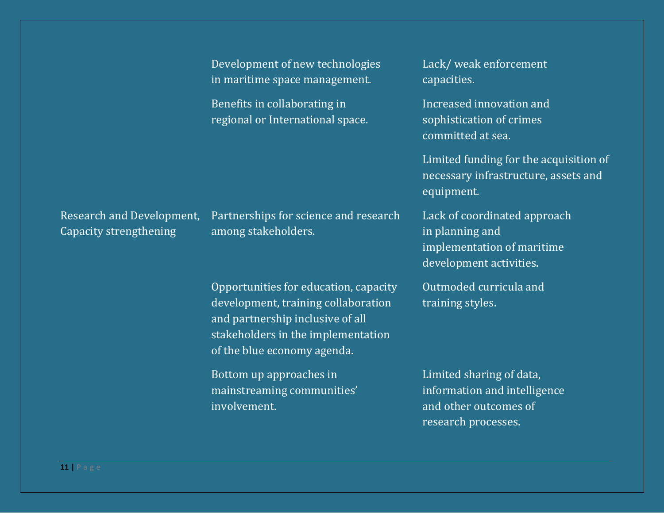|                                                     | Development of new technologies<br>in maritime space management.                                                                                                                      | Lack/weak enforcement<br>capacities.                                                                     |
|-----------------------------------------------------|---------------------------------------------------------------------------------------------------------------------------------------------------------------------------------------|----------------------------------------------------------------------------------------------------------|
|                                                     | Benefits in collaborating in<br>regional or International space.                                                                                                                      | Increased innovation and<br>sophistication of crimes<br>committed at sea.                                |
|                                                     |                                                                                                                                                                                       | Limited funding for the acquisition of<br>necessary infrastructure, assets and<br>equipment.             |
| Research and Development,<br>Capacity strengthening | Partnerships for science and research<br>among stakeholders.                                                                                                                          | Lack of coordinated approach<br>in planning and<br>implementation of maritime<br>development activities. |
|                                                     | Opportunities for education, capacity<br>development, training collaboration<br>and partnership inclusive of all<br>stakeholders in the implementation<br>of the blue economy agenda. | Outmoded curricula and<br>training styles.                                                               |
|                                                     | Bottom up approaches in<br>mainstreaming communities'<br>involvement.                                                                                                                 | Limited sharing of data,<br>information and intelligence<br>and other outcomes of<br>research processes. |

**11 |** P a g e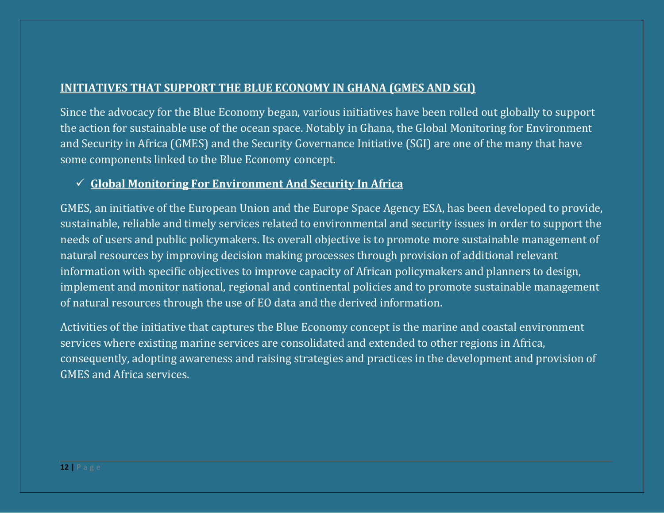# **INITIATIVES THAT SUPPORT THE BLUE ECONOMY IN GHANA (GMES AND SGI)**

Since the advocacy for the Blue Economy began, various initiatives have been rolled out globally to support the action for sustainable use of the ocean space. Notably in Ghana, the Global Monitoring for Environment and Security in Africa (GMES) and the Security Governance Initiative (SGI) are one of the many that have some components linked to the Blue Economy concept.

# ✓ **Global Monitoring For Environment And Security In Africa**

GMES, an initiative of the European Union and the Europe Space Agency ESA, has been developed to provide, sustainable, reliable and timely services related to environmental and security issues in order to support the needs of users and public policymakers. Its overall objective is to promote more sustainable management of natural resources by improving decision making processes through provision of additional relevant information with specific objectives to improve capacity of African policymakers and planners to design, implement and monitor national, regional and continental policies and to promote sustainable management of natural resources through the use of EO data and the derived information.

Activities of the initiative that captures the Blue Economy concept is the marine and coastal environment services where existing marine services are consolidated and extended to other regions in Africa, consequently, adopting awareness and raising strategies and practices in the development and provision of GMES and Africa services.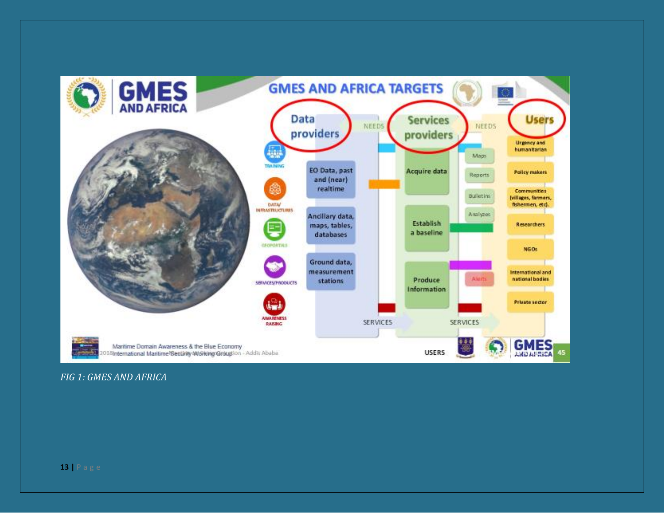

#### FIG 1: GMES AND AFRICA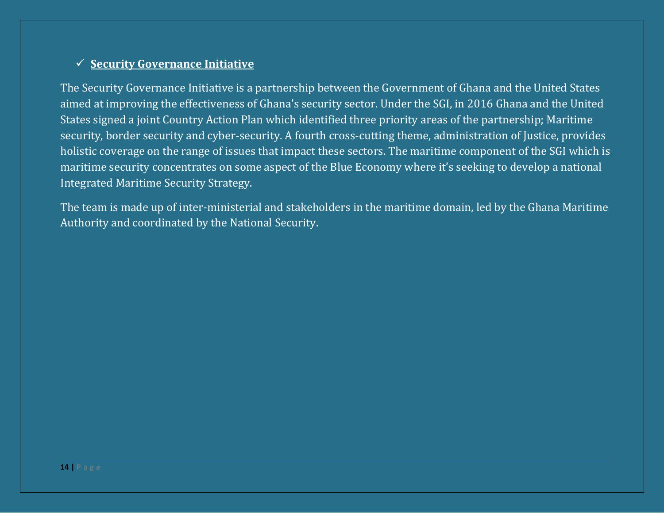# ✓ **Security Governance Initiative**

The Security Governance Initiative is a partnership between the Government of Ghana and the United States aimed at improving the effectiveness of Ghana's security sector. Under the SGI, in 2016 Ghana and the United States signed a joint Country Action Plan which identified three priority areas of the partnership; Maritime security, border security and cyber-security. A fourth cross-cutting theme, administration of Justice, provides holistic coverage on the range of issues that impact these sectors. The maritime component of the SGI which is maritime security concentrates on some aspect of the Blue Economy where it's seeking to develop a national Integrated Maritime Security Strategy.

The team is made up of inter-ministerial and stakeholders in the maritime domain, led by the Ghana Maritime Authority and coordinated by the National Security.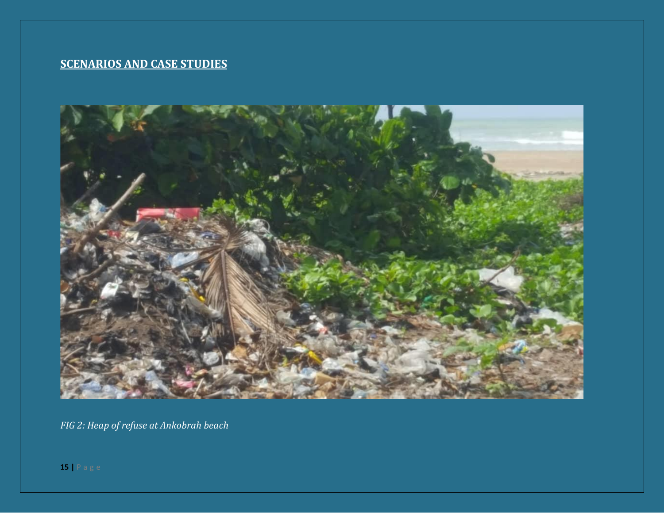# **SCENARIOS AND CASE STUDIES**



*FIG 2: Heap of refuse at Ankobrah beach*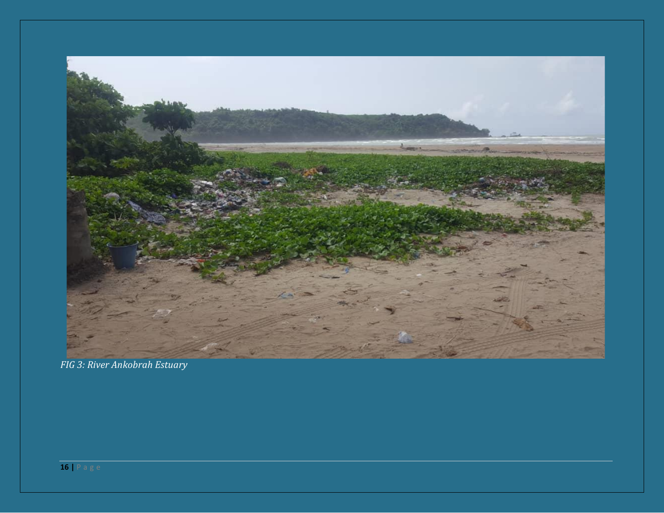

FIG 3: River Ankobrah Estuary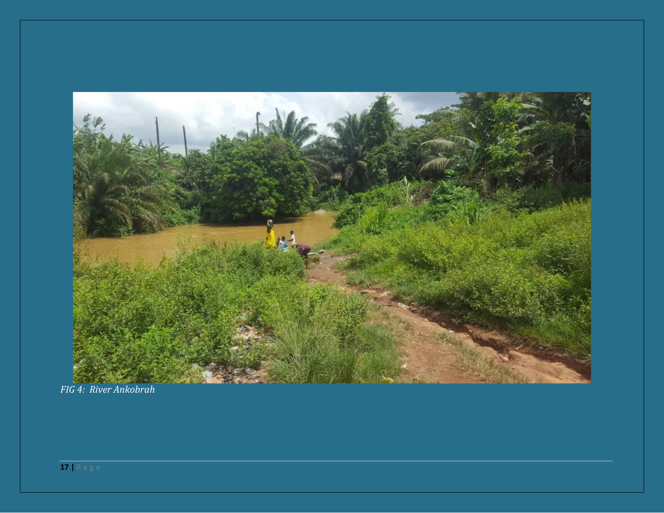![](_page_16_Picture_0.jpeg)

FIG 4: River Ankobrah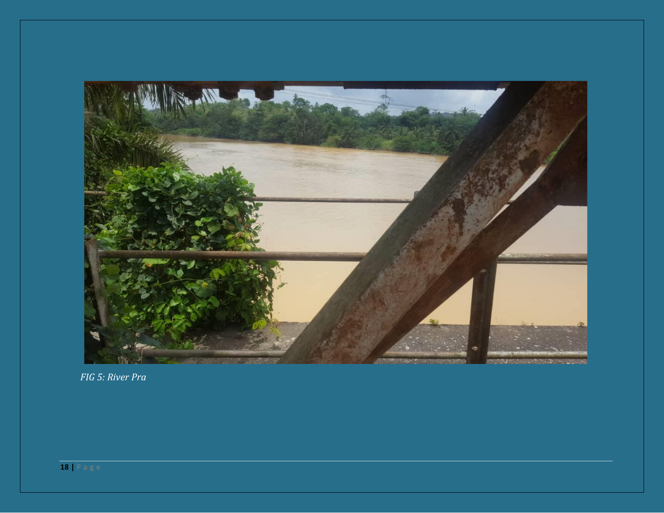![](_page_17_Picture_0.jpeg)

FIG 5: River Pra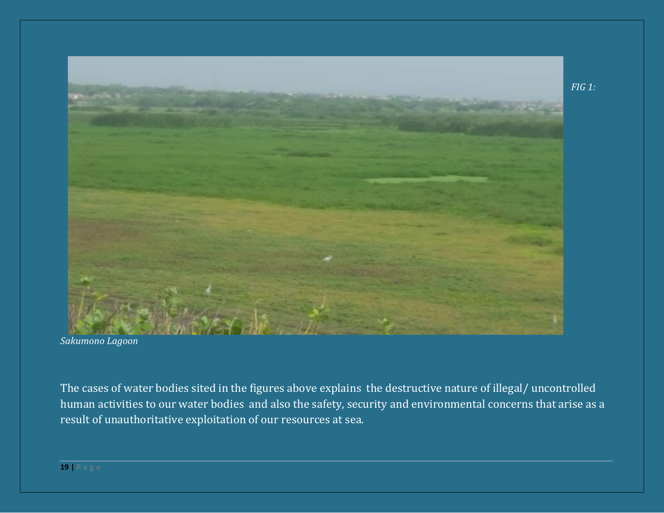![](_page_18_Picture_0.jpeg)

*Sakumono Lagoon*

The cases of water bodies sited in the figures above explains the destructive nature of illegal/ uncontrolled human activities to our water bodies and also the safety, security and environmental concerns that arise as a result of unauthoritative exploitation of our resources at sea.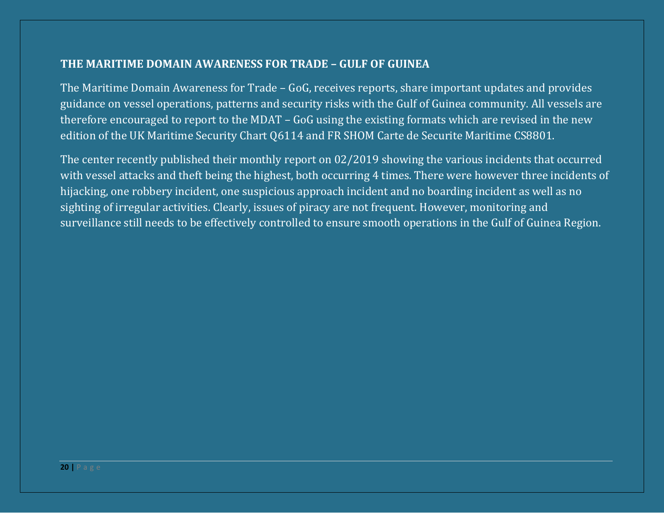# **THE MARITIME DOMAIN AWARENESS FOR TRADE – GULF OF GUINEA**

The Maritime Domain Awareness for Trade – GoG, receives reports, share important updates and provides guidance on vessel operations, patterns and security risks with the Gulf of Guinea community. All vessels are therefore encouraged to report to the MDAT – GoG using the existing formats which are revised in the new edition of the UK Maritime Security Chart Q6114 and FR SHOM Carte de Securite Maritime CS8801.

The center recently published their monthly report on 02/2019 showing the various incidents that occurred with vessel attacks and theft being the highest, both occurring 4 times. There were however three incidents of hijacking, one robbery incident, one suspicious approach incident and no boarding incident as well as no sighting of irregular activities. Clearly, issues of piracy are not frequent. However, monitoring and surveillance still needs to be effectively controlled to ensure smooth operations in the Gulf of Guinea Region.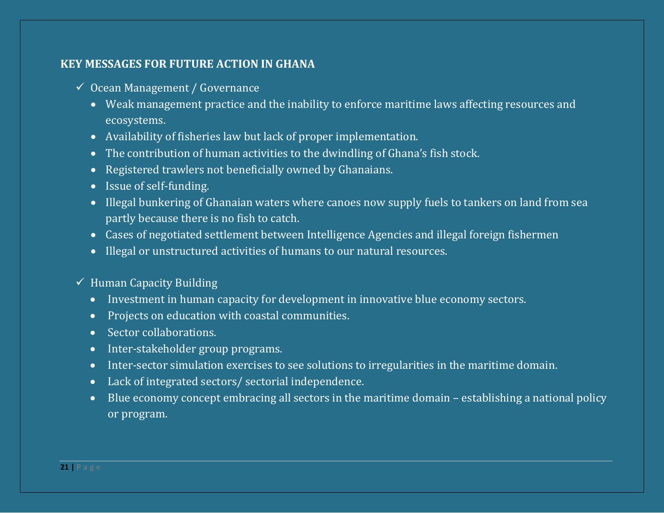# **KEY MESSAGES FOR FUTURE ACTION IN GHANA**

- $\checkmark$  Ocean Management / Governance
	- Weak management practice and the inability to enforce maritime laws affecting resources and ecosystems.
	- Availability of fisheries law but lack of proper implementation.
	- The contribution of human activities to the dwindling of Ghana's fish stock.
	- Registered trawlers not beneficially owned by Ghanaians.
	- Issue of self-funding.
	- Illegal bunkering of Ghanaian waters where canoes now supply fuels to tankers on land from sea partly because there is no fish to catch.
	- Cases of negotiated settlement between Intelligence Agencies and illegal foreign fishermen
	- Illegal or unstructured activities of humans to our natural resources.
- $\checkmark$  Human Capacity Building
	- Investment in human capacity for development in innovative blue economy sectors.
	- Projects on education with coastal communities.
	- Sector collaborations.
	- Inter-stakeholder group programs.
	- Inter-sector simulation exercises to see solutions to irregularities in the maritime domain.
	- Lack of integrated sectors/ sectorial independence.
	- Blue economy concept embracing all sectors in the maritime domain establishing a national policy or program.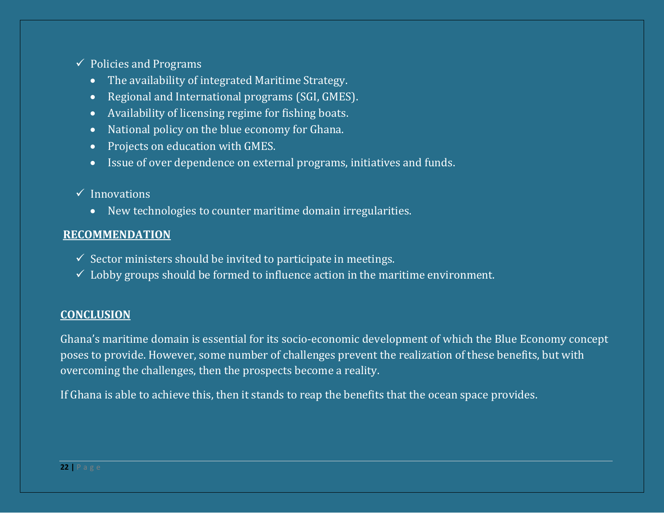- $\checkmark$  Policies and Programs
	- The availability of integrated Maritime Strategy.
	- Regional and International programs (SGI, GMES).
	- Availability of licensing regime for fishing boats.
	- National policy on the blue economy for Ghana.
	- Projects on education with GMES.
	- Issue of over dependence on external programs, initiatives and funds.

# $\checkmark$  Innovations

• New technologies to counter maritime domain irregularities.

## **RECOMMENDATION**

- $\checkmark$  Sector ministers should be invited to participate in meetings.
- $\checkmark$  Lobby groups should be formed to influence action in the maritime environment.

# **CONCLUSION**

Ghana's maritime domain is essential for its socio-economic development of which the Blue Economy concept poses to provide. However, some number of challenges prevent the realization of these benefits, but with overcoming the challenges, then the prospects become a reality.

If Ghana is able to achieve this, then it stands to reap the benefits that the ocean space provides.